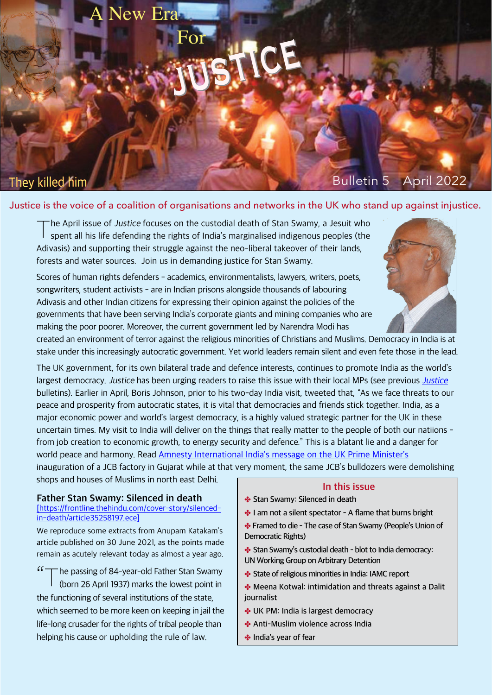# They killed him

# Bulletin 5 April 2022

### Justice is the voice of a coalition of organisations and networks in the UK who stand up against injustice.

justice

T The April issue of Justice focuses on the custodial death of Stan Swamy, a Jesuit who spent all his life defending the rights of India's marginalised indigenous peoples (the Adivasis) and supporting their struggle against the neo-liberal takeover of their lands, forests and water sources. Join us in demanding justice for Stan Swamy.

ew Er

For

Scores of human rights defenders - academics, environmentalists, lawyers, writers, poets, songwriters, student activists - are in Indian prisons alongside thousands of labouring Adivasis and other Indian citizens for expressing their opinion against the policies of the governments that have been serving India's corporate giants and mining companies who are making the poor poorer. Moreover, the current government led by Narendra Modi has

created an environment of terror against the religious minorities of Christians and Muslims. Democracy in India is at stake under this increasingly autocratic government. Yet world leaders remain silent and even fete those in the lead.

The UK government, for its own bilateral trade and defence interests, continues to promote India as the world's largest democracy. [Justice](https://india-crisis.world/The-Truth/) has been urging readers to raise this issue with their local MPs (see previous Justice bulletins). Earlier in April, Boris Johnson, prior to his two-day India visit, tweeted that, "As we face threats to our peace and prosperity from autocratic states, it is vital that democracies and friends stick together. India, as a major economic power and world's largest democracy, is a highly valued strategic partner for the UK in these uncertain times. My visit to India will deliver on the things that really matter to the people of both our natiions from job creation to economic growth, to energy security and defence." This is a blatant lie and a danger for world peace and harmony. Read [Amnesty International India's message on the UK Prime Minister's](#page-3-0) inauguration of a JCB factory in Gujarat while at that very moment, the same JCB's bulldozers were demolishing

shops and houses of Muslims in north east Delhi.

#### **Father Stan Swamy: Silenced in death**

#### [[https://frontline.thehindu.com/cover-story/silenced](https://frontline.thehindu.com/cover-story/silenced-in-death/article35258197.ece)[in-death/article35258197.ece](https://frontline.thehindu.com/cover-story/silenced-in-death/article35258197.ece)]

We reproduce some extracts from Anupam Katakam's article published on 30 June 2021, as the points made remain as acutely relevant today as almost a year ago.

"The passing of 84-year-old Father Stan Swamy (born 26 April 1937) marks the lowest point in the functioning of several institutions of the state, which seemed to be more keen on keeping in jail the life-long crusader for the rights of tribal people than helping his cause or upholding the rule of law.

#### **In this issue**

- ✤ **Stan Swamy: Silenced in death**
- ✤ **I am not a silent spectator A flame that burns bright**
- ✤ **Framed to die The case of Stan Swamy (People's Union of Democratic Rights)**
- ✤ **Stan Swamy's custodial death blot to India democracy:**
- **UN Working Group on Arbitrary Detention**
- ✤ **State of religious minorities in India: IAMC report**
- ✤ **Meena Kotwal: intimidation and threats against a Dalit journalist**
- ✤ **UK PM: India is largest democracy**
- ✤ **Anti-Muslim violence across India**
- ✤ **India's year of fear**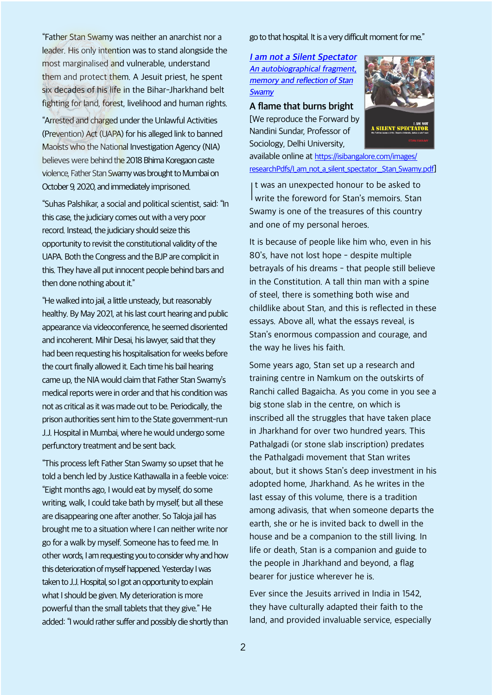"Father Stan Swamy was neither an anarchist nor a leader. His only intention was to stand alongside the most marginalised and vulnerable, understand them and protect them. A Jesuit priest, he spent six decades of his life in the Bihar-Jharkhand belt fighting for land, forest, livelihood and human rights.

"Arrested and charged under the Unlawful Activities (Prevention) Act (UAPA) for his alleged link to banned Maoists who the National Investigation Agency (NIA) believes were behind the 2018 Bhima Koregaon caste violence, Father Stan Swamy was brought to Mumbai on October 9, 2020, and immediately imprisoned.

"Suhas Palshikar, a social and political scientist, said: "In this case, the judiciary comes out with a very poor record. Instead, the judiciary should seize this opportunity to revisit the constitutional validity of the UAPA. Both the Congress and the BJP are complicit in this. They have all put innocent people behind bars and then done nothing about it."

"He walked into jail, a little unsteady, but reasonably healthy. By May 2021, at his last court hearing and public appearance via videoconference, he seemed disoriented and incoherent. Mihir Desai, his lawyer, said that they had been requesting his hospitalisation for weeks before the court finally allowed it. Each time his bail hearing came up, the NIA would claim that Father Stan Swamy's medical reports were in order and that his condition was not as critical as it was made out to be. Periodically, the prison authorities sent him to the State government-run J.J. Hospital in Mumbai, where he would undergo some perfunctory treatment and be sent back.

"This process left Father Stan Swamy so upset that he told a bench led by Justice Kathawalla in a feeble voice: "Eight months ago, I would eat by myself, do some writing, walk, I could take bath by myself, but all these are disappearing one after another. So Taloja jail has brought me to a situation where I can neither write nor go for a walk by myself. Someone has to feed me. In other words, I am requesting you to consider why and how this deterioration of myself happened. Yesterday I was taken to J.J. Hospital, so I got an opportunity to explain what I should be given. My deterioration is more powerful than the small tablets that they give." He added: "I would rather suffer and possibly die shortly than

go to that hospital. It is a very difficult moment for me."

**<sup>I</sup> am not <sup>a</sup> Silent [Spectator](https://isibangalore.com/images/researchPdfs/I_am_not_a_silent_spectator__Stan_Swamy.pdf) An [autobiographical](https://isibangalore.com/images/researchPdfs/I_am_not_a_silent_spectator__Stan_Swamy.pdf) fragment, memory and [reflection](https://isibangalore.com/images/researchPdfs/I_am_not_a_silent_spectator__Stan_Swamy.pdf) of Stan [Swamy](https://isibangalore.com/images/researchPdfs/I_am_not_a_silent_spectator__Stan_Swamy.pdf)**

**A flame that burns bright**

[We reproduce the Forward by Nandini Sundar, Professor of Sociology, Delhi University,



available online at [https://isibangalore.com/images/](https://isibangalore.com/images/researchPdfs/I_am_not_a_silent_spectator__Stan_Swamy.pdf) [researchPdfs/I\\_am\\_not\\_a\\_silent\\_spectator\\_\\_Stan\\_Swamy.pdf](https://isibangalore.com/images/researchPdfs/I_am_not_a_silent_spectator__Stan_Swamy.pdf)]

It was an unexpected honour to be asked to<br>write the foreword for Stan's memoirs. Stan t was an unexpected honour to be asked to Swamy is one of the treasures of this country and one of my personal heroes.

It is because of people like him who, even in his 80's, have not lost hope - despite multiple betrayals of his dreams - that people still believe in the Constitution. A tall thin man with a spine of steel, there is something both wise and childlike about Stan, and this is reflected in these essays. Above all, what the essays reveal, is Stan's enormous compassion and courage, and the way he lives his faith.

Some years ago, Stan set up a research and training centre in Namkum on the outskirts of Ranchi called Bagaicha. As you come in you see a big stone slab in the centre, on which is inscribed all the struggles that have taken place in Jharkhand for over two hundred years. This Pathalgadi (or stone slab inscription) predates the Pathalgadi movement that Stan writes about, but it shows Stan's deep investment in his adopted home, Jharkhand. As he writes in the last essay of this volume, there is a tradition among adivasis, that when someone departs the earth, she or he is invited back to dwell in the house and be a companion to the still living. In life or death, Stan is a companion and guide to the people in Jharkhand and beyond, a flag bearer for justice wherever he is.

Ever since the Jesuits arrived in India in 1542, they have culturally adapted their faith to the land, and provided invaluable service, especially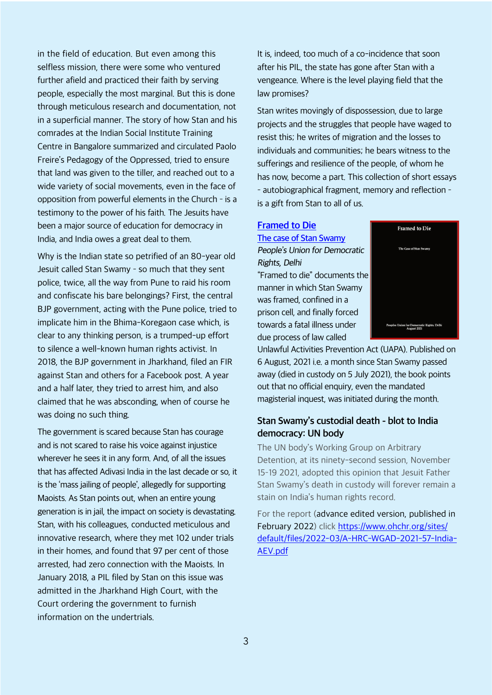in the field of education. But even among this selfless mission, there were some who ventured further afield and practiced their faith by serving people, especially the most marginal. But this is done through meticulous research and documentation, not in a superficial manner. The story of how Stan and his comrades at the Indian Social Institute Training Centre in Bangalore summarized and circulated Paolo Freire's Pedagogy of the Oppressed, tried to ensure that land was given to the tiller, and reached out to a wide variety of social movements, even in the face of opposition from powerful elements in the Church - is a testimony to the power of his faith. The Jesuits have been a major source of education for democracy in India, and India owes a great deal to them.

Why is the Indian state so petrified of an 80-year old Jesuit called Stan Swamy - so much that they sent police, twice, all the way from Pune to raid his room and confiscate his bare belongings? First, the central BJP government, acting with the Pune police, tried to implicate him in the Bhima-Koregaon case which, is clear to any thinking person, is a trumped-up effort to silence a well-known human rights activist. In 2018, the BJP government in Jharkhand, filed an FIR against Stan and others for a Facebook post. A year and a half later, they tried to arrest him, and also claimed that he was absconding, when of course he was doing no such thing.

The government is scared because Stan has courage and is not scared to raise his voice against injustice wherever he sees it in any form. And, of all the issues that has affected Adivasi India in the last decade or so, it is the 'mass jailing of people', allegedly for supporting Maoists. As Stan points out, when an entire young generation is in jail, the impact on society is devastating. Stan, with his colleagues, conducted meticulous and innovative research, where they met 102 under trials in their homes, and found that 97 per cent of those arrested, had zero connection with the Maoists. In January 2018, a PIL filed by Stan on this issue was admitted in the Jharkhand High Court, with the Court ordering the government to furnish information on the undertrials.

It is, indeed, too much of a co-incidence that soon after his PIL, the state has gone after Stan with a vengeance. Where is the level playing field that the law promises?

Stan writes movingly of dispossession, due to large projects and the struggles that people have waged to resist this; he writes of migration and the losses to individuals and communities; he bears witness to the sufferings and resilience of the people, of whom he has now, become a part. This collection of short essays - autobiographical fragment, memory and reflection is a gift from Stan to all of us.

# **[Framed to Die](https://www.pudr.org/framed-die-case-stan-swamy)**

**[The case of Stan Swamy](https://www.pudr.org/framed-die-case-stan-swamy)** People's Union for Democratic Rights, Delhi "Framed to die" documents the manner in which Stan Swamy was framed, confined in a prison cell, and finally forced towards a fatal illness under due process of law called



Unlawful Activities Prevention Act (UAPA). Published on 6 August, 2021 i.e. a month since Stan Swamy passed away (died in custody on 5 July 2021), the book points out that no official enquiry, even the mandated magisterial inquest, was initiated during the month.

### **Stan Swamy's custodial death - blot to India democracy: UN body**

The UN body's Working Group on Arbitrary Detention, at its ninety-second session, November 15-19 2021, adopted this opinion that Jesuit Father Stan Swamy's death in custody will forever remain a stain on India's human rights record.

For the report (advance edited version, published in February 2022) click [https://www.ohchr.org/sites/](https://www.ohchr.org/sites/default/files/2022-03/A-HRC-WGAD-2021-57-India-AEV.pdf) [default/files/2022-03/A-HRC-WGAD-2021-57-India-](https://www.ohchr.org/sites/default/files/2022-03/A-HRC-WGAD-2021-57-India-AEV.pdf)[AEV.pdf](https://www.ohchr.org/sites/default/files/2022-03/A-HRC-WGAD-2021-57-India-AEV.pdf)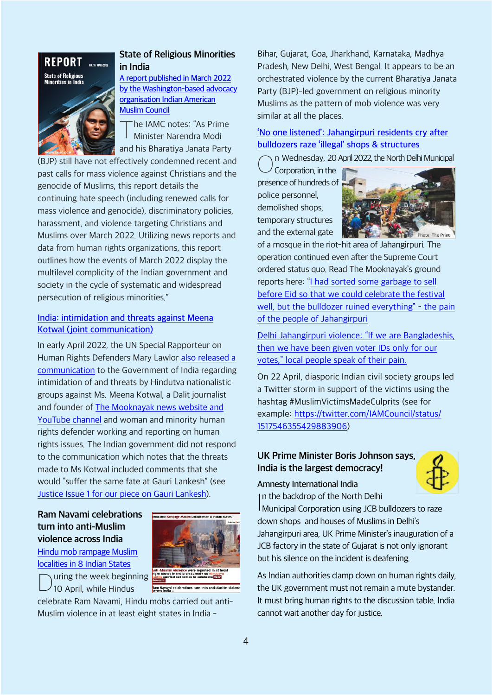<span id="page-3-0"></span>

## **State of Religious Minorities in India**

**[A report published in March 2022](https://iamc.com/iamc-report-state-of-religious-minorities-in-india-march-2022) [by the Washington-based advocacy](https://iamc.com/iamc-report-state-of-religious-minorities-in-india-march-2022) [organisation Indian American](https://iamc.com/iamc-report-state-of-religious-minorities-in-india-march-2022) [Muslim Council](https://iamc.com/iamc-report-state-of-religious-minorities-in-india-march-2022)**

T he IAMC notes: "As Prime Minister Narendra Modi and his Bharatiya Janata Party

(BJP) still have not effectively condemned recent and past calls for mass violence against Christians and the genocide of Muslims, this report details the continuing hate speech (including renewed calls for mass violence and genocide), discriminatory policies, harassment, and violence targeting Christians and Muslims over March 2022. Utilizing news reports and data from human rights organizations, this report outlines how the events of March 2022 display the multilevel complicity of the Indian government and society in the cycle of systematic and widespread persecution of religious minorities."

### **[India: intimidation and threats against Meena](https://srdefenders.org/india-intimidation-and-threats-against-meena-kotwal-joint-communication/) [Kotwal \(joint communication\)](https://srdefenders.org/india-intimidation-and-threats-against-meena-kotwal-joint-communication/)**

In early April 2022, the UN Special Rapporteur on Human Rights Defenders Mary Lawlor [also released a](https://thewire.in/media/meena-kotwal-death-threats-un-rights-experts) [communication](https://thewire.in/media/meena-kotwal-death-threats-un-rights-experts) to the Government of India regarding intimidation of and threats by Hindutva nationalistic groups against Ms. Meena Kotwal, a Dalit journalist and founder of [The Mooknayak news website and](https://themooknayak.in) [YouTube channel](https://themooknayak.in) and woman and minority human rights defender working and reporting on human rights issues. The Indian government did not respond to the communication which notes that the threats made to Ms Kotwal included comments that she would "suffer the same fate at Gauri Lankesh" (see [Justice Issue 1 for our piece on Gauri Lankesh\)](https://india-crisis.world/gallery/india_crisis_4.pdf).

### **Ram Navami celebrations turn into anti-Muslim violence across India**



[localities in 8 Indian States](https://hindutvawatch.org/ram-navami-celebrations-turn-into-anti-muslim-violence-across-india/) uring the week beginning

[Hindu mob rampage Muslim](https://hindutvawatch.org/ram-navami-celebrations-turn-into-anti-muslim-violence-across-india/)

 $\bigcup$ 10 April, while Hindus

celebrate Ram Navami, Hindu mobs carried out anti-Muslim violence in at least eight states in India -

Bihar, Gujarat, Goa, Jharkhand, Karnataka, Madhya Pradesh, New Delhi, West Bengal. It appears to be an orchestrated violence by the current Bharatiya Janata Party (BJP)-led government on religious minority Muslims as the pattern of mob violence was very similar at all the places.

## **['No one listened': Jahangirpuri residents cry after](https://hindutvawatch.org/no-one-listened-jahangirpuri-residents-cry-after-bulldozers-raze-illegal-shops-structures/) [bulldozers raze 'illegal' shops & structures](https://hindutvawatch.org/no-one-listened-jahangirpuri-residents-cry-after-bulldozers-raze-illegal-shops-structures/)**

n Wednesday, 20 April 2022, the North Delhi Municipal

 $\bigcirc$ Corporation, in the presence of hundreds of police personnel, demolished shops, temporary structures and the external gate



of a mosque in the riot-hit area of Jahangirpuri. The operation continued even after the Supreme Court ordered status quo. Read The Mooknayak's ground reports here: ["I had sorted some garbage to sell](https://www.themooknayak.co.in/i-had-sorted-some-garbage-to-sell-before-eid-so-that-we-could-celebrate-the-festival-well-but-the-bulldozer-ruined-everything-the-pain-of-the-people-of-jahangirpuri/) [before Eid so that we could celebrate the festival](https://www.themooknayak.co.in/i-had-sorted-some-garbage-to-sell-before-eid-so-that-we-could-celebrate-the-festival-well-but-the-bulldozer-ruined-everything-the-pain-of-the-people-of-jahangirpuri/) well, but the bulldozer ruined everything" - the pain [of the people of Jahangirpuri](https://www.themooknayak.co.in/i-had-sorted-some-garbage-to-sell-before-eid-so-that-we-could-celebrate-the-festival-well-but-the-bulldozer-ruined-everything-the-pain-of-the-people-of-jahangirpuri/)

[Delhi Jahangirpuri violence: "If we are Bangladeshis,](https://www.themooknayak.co.in/delhi-jahangirpuri-violence-if-we-are-bangladeshis-then-we-have-been-given-voter-ids-only-for-our-votes-local-people-speak-of-their-pain/) [then we have been given voter IDs only for our](https://www.themooknayak.co.in/delhi-jahangirpuri-violence-if-we-are-bangladeshis-then-we-have-been-given-voter-ids-only-for-our-votes-local-people-speak-of-their-pain/) [votes," local people speak of their pain.](https://www.themooknayak.co.in/delhi-jahangirpuri-violence-if-we-are-bangladeshis-then-we-have-been-given-voter-ids-only-for-our-votes-local-people-speak-of-their-pain/)

On 22 April, diasporic Indian civil society groups led a Twitter storm in support of the victims using the hashtag #MuslimVictimsMadeCulprits (see for example: [https://twitter.com/IAMCouncil/status/](https://twitter.com/IAMCouncil/status/1517546355429883906) [1517546355429883906](https://twitter.com/IAMCouncil/status/1517546355429883906))

## **UK Prime Minister Boris Johnson says, India is the largest democracy!**



#### **Amnesty International India**

In the backdrop of the North Delhi<br>Municipal Corporation using JCB bulldozers to raze n the backdrop of the North Delhi down shops and houses of Muslims in Delhi's Jahangirpuri area, UK Prime Minister's inauguration of a

JCB factory in the state of Gujarat is not only ignorant but his silence on the incident is deafening.

As Indian authorities clamp down on human rights daily, the UK government must not remain a mute bystander. It must bring human rights to the discussion table. India cannot wait another day for justice.